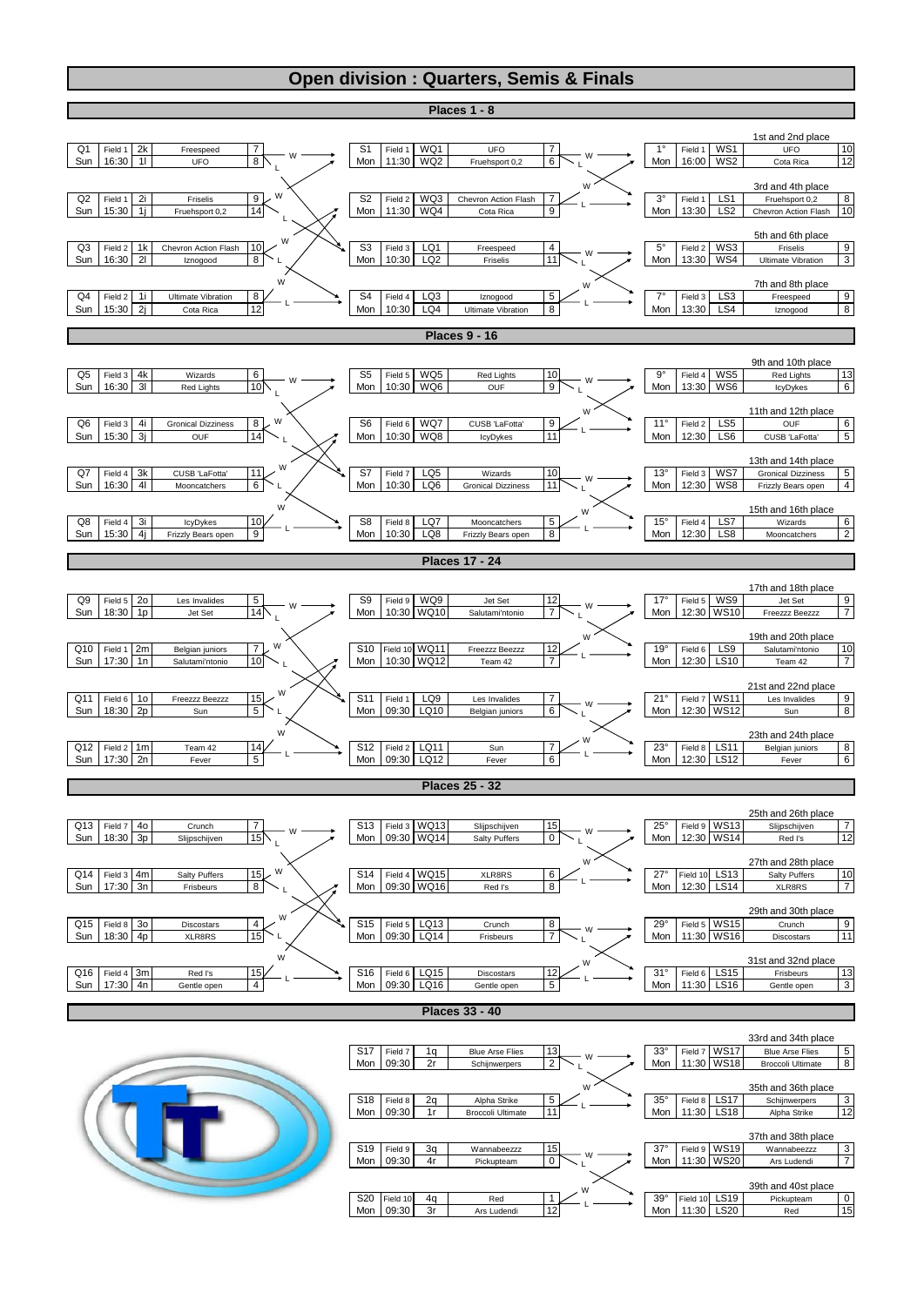## **Open division : Quarters, Semis & Finals**

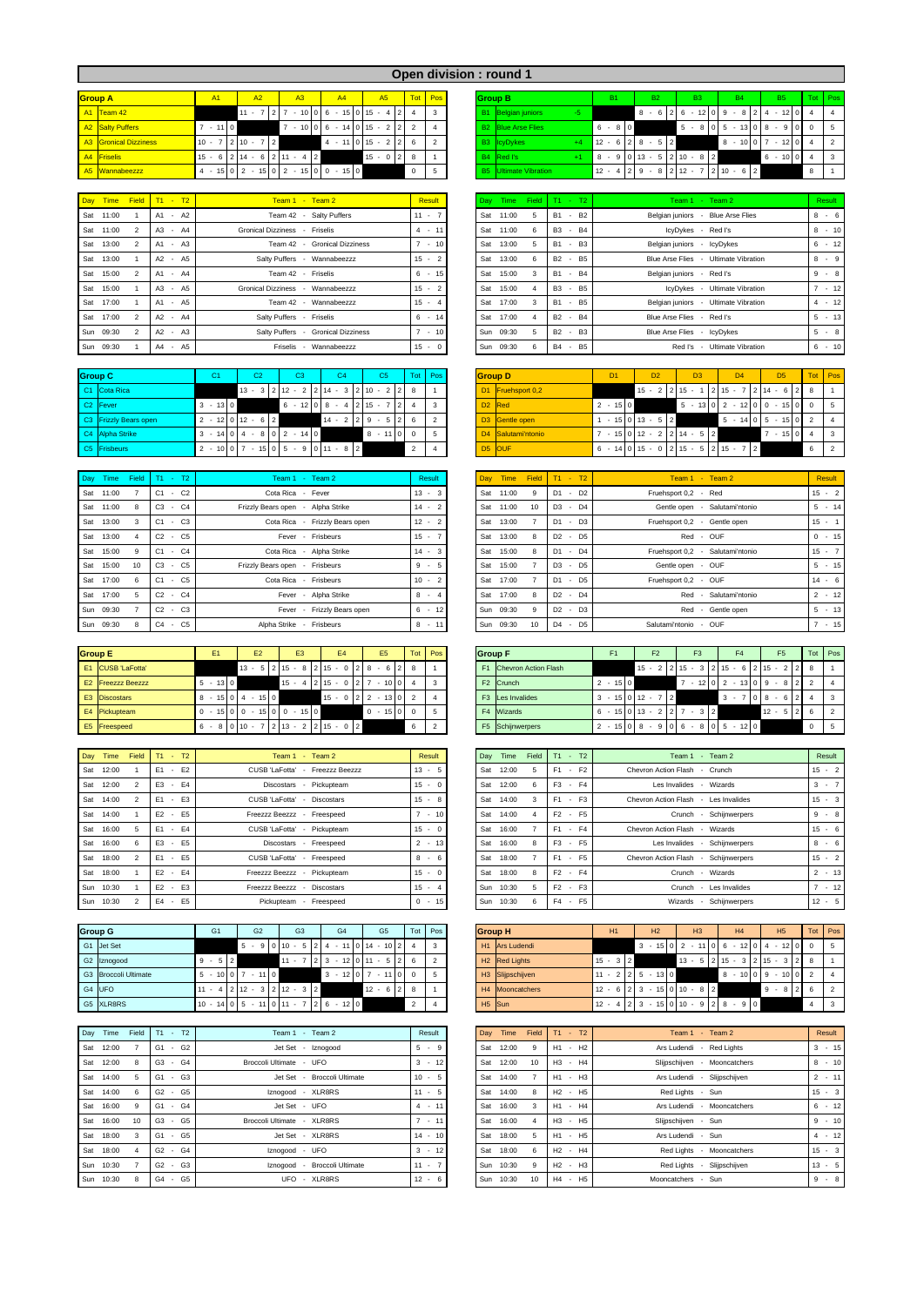|                       |                         |          |                                                                                                                                                                                  |    |                            |              |               | <b>Open division : round 1</b> |                                |                          |           |                                           |           |                                                                 |                |  |
|-----------------------|-------------------------|----------|----------------------------------------------------------------------------------------------------------------------------------------------------------------------------------|----|----------------------------|--------------|---------------|--------------------------------|--------------------------------|--------------------------|-----------|-------------------------------------------|-----------|-----------------------------------------------------------------|----------------|--|
| <b>Group A</b>        | A <sub>1</sub>          | A2       | A3                                                                                                                                                                               | A4 | A <sub>5</sub>             |              | Tot Pos       |                                | <b>Group B</b>                 | <b>B1</b>                | <b>B2</b> | <b>B3</b>                                 | <b>B4</b> | <b>B5</b>                                                       | Tot Pos        |  |
| A1 Team 42            |                         | $11 - 7$ | 27                                                                                                                                                                               |    | $-10 0 6 - 15 0 15 - 4 24$ |              |               |                                | <b>B1</b> Belgian juniors      |                          | $8 - 6$   |                                           |           | $2 \times 6 - 12 \times 19 = 8 \times 2 + 4 - 12 \times 10 = 4$ | $\blacksquare$ |  |
| A2 Salty Puffers      | $-11$ 0                 |          |                                                                                                                                                                                  |    | $7 - 10006 - 14015 - 222$  |              |               |                                | <b>B2</b> Blue Arse Flies      | $6 - 80$                 |           | $5 -$                                     |           | $8 0 5 - 13 0 8 - 9 0 $                                         | $0 \quad 5$    |  |
| A3 Gronical Dizziness | $10 - 7$   2   $10 - 7$ | 2        |                                                                                                                                                                                  |    | $4 - 11$ 0 15 $- 2$ 2      | 6            | $\mathcal{P}$ |                                | B3 IcyDykes<br>$+4$            | $12 - 6$   2   8 - 5   2 |           |                                           |           | $8 - 10$   0   7 $- 12$   0   4                                 |                |  |
| A4 Friselis           |                         |          | $15 - 6$   2   14 $- 6$   2   11 $- 4$   2                                                                                                                                       |    | $15 - 0$   2   8           |              |               |                                | B <sub>4</sub> Red I's<br>$+1$ |                          |           | $8 - 91013 - 512110 - 812$                |           | $6 - 100$                                                       | $\mathbf{L}$ 3 |  |
| A5 Wannabeezzz        |                         |          | $4 - 15 \begin{bmatrix} 0 & 2 & -15 \end{bmatrix} \begin{bmatrix} 0 & 2 & -15 \end{bmatrix} \begin{bmatrix} 0 & 0 & -15 \end{bmatrix} \begin{bmatrix} 0 & -16 & 0 \end{bmatrix}$ |    |                            | $\mathbf{0}$ | -5            |                                | <b>B5</b> Ultimate Vibration   | $12 - 4$   2   9 $-$ 8   |           | $2 \mid 12 - 7 \mid 2 \mid 10 - 6 \mid 2$ |           |                                                                 | 8              |  |

|                 | Day Time Field T1 - T2 | $Team 1 - Team 2$                  | <b>Result</b> | Day Time        | Field      | $T1 - T2$                                               | Team 1 - Team 2                      | Resul           |
|-----------------|------------------------|------------------------------------|---------------|-----------------|------------|---------------------------------------------------------|--------------------------------------|-----------------|
| Sat 11:00       | A1 - A2                | Team 42 - Salty Puffers            | $11 - 7$      | Sat             | 11:00      | $-B2$<br><b>B1</b>                                      | Belgian juniors - Blue Arse Flies    | $8 -$           |
| Sat 11:00       | A3 - A4                | Gronical Dizziness - Friselis      | $4 - 11$      | Sat             | 11:00      | B <sub>3</sub><br>$-B4$                                 | IcvDvkes - Red I's                   | $8 -$           |
| Sat 13:00       | A1 - A3                | Team 42 - Gronical Dizziness       | $-10$         | Sat             | 13:00      | $-B3$<br><b>B1</b>                                      | Belgian juniors - IcyDykes           | $6 -$           |
| Sat 13:00       | A2 - A5                | Salty Puffers - Wannabeezzz        | $15 - 2$      | Sat             | 13:00<br>6 | <b>B2</b><br><b>B5</b><br>$\overline{\phantom{a}}$      | Blue Arse Flies - Ultimate Vibration | $8 -$           |
| Sat 15:00       | A1 - A4                | Team 42 - Friselis                 | $6 - 15$      | Sat             | 15:00<br>3 | <b>B1</b><br>$-B4$                                      | Belgian juniors - Red I's            | $9 -$           |
| Sat 15:00       | $A3 - A5$              | Gronical Dizziness - Wannabeezzz   | $15 - 2$      | Sat             | 15:00      | B <sub>3</sub><br><b>B5</b><br>$\overline{\phantom{a}}$ | IcvDvkes - Ultimate Vibration        | $.7 - .$        |
| Sat 17:00       | A1 - A5                | Team 42 - Wannabeezzz              | $15 - 4$      | Sat             | 17:00      | $-B5$<br><b>B1</b>                                      | Belgian juniors - Ultimate Vibration | $4 -$           |
| Sat 17:00       | A2 - A4                | Salty Puffers - Friselis           | 6<br>$-14$    | Sat             | 17:00      | <b>B2</b><br><b>B4</b><br>$\overline{\phantom{a}}$      | Blue Arse Flies - Red I's            | $5 -$           |
| Sun 09:30       | $A2 - A3$              | Salty Puffers - Gronical Dizziness | $-10$         | Sun 09:30       | 5          | <b>B2</b><br>$-B3$                                      | Blue Arse Flies - IcyDykes           | 5<br>$\sim 100$ |
| $S_{11D}$ 00:30 | $\Delta A$ $\Delta 5$  | Frieglie - Wannahgazzz             | $15 - 0$      | $S_{11D}$ 00:30 | $\epsilon$ | <b>B4</b> - <b>B5</b>                                   | Red I'e - I Iltimate Vibration       | 6.1             |

| <b>Group C</b>        | u a         | $\sim$<br>ےب        | CЗ                          | C4                                                                              | C <sub>5</sub>              |                          | Tot Pos | <b>Group D</b>     |                    | D <sub>1</sub> | D <sub>2</sub>          | D <sub>3</sub>                        | D <sub>4</sub>              | D <sub>5</sub> |  |
|-----------------------|-------------|---------------------|-----------------------------|---------------------------------------------------------------------------------|-----------------------------|--------------------------|---------|--------------------|--------------------|----------------|-------------------------|---------------------------------------|-----------------------------|----------------|--|
| C1 Cota Rica          |             |                     |                             | $13 - 3 \mid 2 \mid 12 - 2 \mid 2 \mid 14 - 3 \mid 2 \mid 10 - 2 \mid 2 \mid 8$ |                             |                          |         |                    | D1 Fruehsport 0,2  |                | $15 - 2$   2   15 - 1   |                                       | $ 215 - 7 214 - 6 28$       |                |  |
| C <sub>2</sub> Fever  | $-13$ 0     |                     | $6 - 12$ 0 8 $- 4$          |                                                                                 | $12115 -$<br>2 <sup>1</sup> |                          |         | D <sub>2</sub> Red |                    | $2 - 150$      |                         |                                       | $5 - 13012 - 12000 - 15000$ |                |  |
| C3 Frizzly Bears open |             | $2 - 12$ 0 12 - 6 2 |                             | $14 - 2 \mid 2 \mid 9 - 5 \mid 2 \mid$                                          |                             | - 6                      |         |                    | D3 Gentle open     |                | $1 - 150113 - 512$      |                                       | $5 - 14$ 0 5 - 15 0 2       |                |  |
| C4 Alpha Strike       |             |                     | $3 - 14$ 0 4 - 8 0 2 - 14 0 |                                                                                 | $8 - 11$                    |                          |         |                    | D4 Salutami'ntonio |                | $-15$ 0 12 - 2 2 14 - 5 | $\overline{2}$                        |                             | $-1504$        |  |
| C5 Frisbeurs          | $2 - 10007$ |                     |                             | $-15$ 0 5 - 9 0 11 - 8 2                                                        |                             | $\overline{\phantom{a}}$ |         |                    | D <sub>5</sub> OUF |                |                         | $6 - 14$ 0 15 - 0 2 15 - 5 2 15 - 7 2 |                             |                |  |

| Day Time  | Field | $T1 - T2$                      | Team 1 - Team 2                   | Result   | Day Time     | Field           | $T1 -$<br>T2                               | Team $1 -$ Team $2$              | <b>Resul</b> |
|-----------|-------|--------------------------------|-----------------------------------|----------|--------------|-----------------|--------------------------------------------|----------------------------------|--------------|
| Sat 11:00 |       | C1<br>C <sub>2</sub><br>$\sim$ | Cota Rica - Fever                 | $13 - 3$ | 11:00<br>Sat | 9               | D <sub>1</sub><br>D <sub>2</sub><br>$\sim$ | Fruehsport 0.2 - Red             | $15 -$       |
| Sat 11:00 |       | $C3 - C4$                      | Frizzly Bears open - Alpha Strike | $14 - 2$ | 11:00<br>Sat | 10              | D <sub>3</sub><br>$-D4$                    | Gentle open - Salutami'ntonio    | $5 -$        |
| Sat 13:00 |       | $C1 - C3$                      | Cota Rica - Frizzly Bears open    | $12 - 2$ | Sat<br>13:00 |                 | D <sub>1</sub><br>$-D3$                    | Fruehsport 0,2 - Gentle open     | $15 -$       |
| Sat 13:00 |       | $C2 -$<br>C <sub>5</sub>       | Fever - Frisbeurs                 | $15 - 7$ | Sat<br>13:00 | 8               | D <sub>2</sub><br>- D <sub>5</sub>         | Red - OUF                        | $0 -$        |
| Sat 15:00 |       | $C1 - C4$                      | Cota Rica - Alpha Strike          | $14 - 3$ | Sat<br>15:00 | 8               | D <sub>1</sub><br>$-D4$                    | Fruehsport 0,2 - Salutami'ntonio | $15 -$       |
| Sat 15:00 |       | $C3 - C5$                      | Frizzly Bears open - Frisbeurs    | $9 - 5$  | Sat<br>15:00 |                 | D <sub>3</sub><br>- D <sub>5</sub>         | Gentle open - OUF                | $5 -$        |
| Sat 17:00 |       | $C1 - C5$                      | Cota Rica - Frisbeurs             | $10 - 2$ | 17:00<br>Sat |                 | - D <sub>5</sub><br>D <sub>1</sub>         | Fruehsport 0,2 - OUF             | $14 -$       |
| Sat 17:00 |       | $C2 - C4$                      | Fever - Alpha Strike              | $8 - 4$  | Sat<br>17:00 |                 | D <sub>2</sub><br>$-D4$                    | Red - Salutami'ntonio            | $2 -$        |
| Sun 09:30 |       | $C2 - C3$                      | Fever - Frizzly Bears open        | $6 - 12$ | Sun 09:30    | q               | D <sub>2</sub><br>$-D3$                    | Red - Gentle open                | $5 -$        |
| Sun 09:30 |       | $C4$ - $C5$                    | Alpha Strike - Frisheurs          | $8 - 11$ | Sun 09:30    | 10 <sup>1</sup> | D4<br>$-D5$                                | Salutami'ntonio - OUF            | $7 -$        |

| <b>Group E</b>           | E <sub>1</sub> | E <sub>2</sub>      | E <sub>3</sub>                             | <b>E4</b>                                  | E5                                                           | Tot Pos | <b>Group F</b> |                              | F1              | F <sub>2</sub>    | F <sub>3</sub>                                          |                            | F5            | Tot Pos |  |
|--------------------------|----------------|---------------------|--------------------------------------------|--------------------------------------------|--------------------------------------------------------------|---------|----------------|------------------------------|-----------------|-------------------|---------------------------------------------------------|----------------------------|---------------|---------|--|
| E1 CUSB 'LaFotta'        |                |                     |                                            |                                            | $13 - 5$   2   15 $-$ 8   2   15 $-$ 0   2   8 $-$ 6   2   8 |         | F <sub>1</sub> | <b>Chevron Action Flash</b>  |                 |                   | $15 - 2$   2   15 - 3   2   15 - 6   2   15 - 2   2   8 |                            |               |         |  |
| <b>E2</b> Freezzz Beezzz | $5 - 130$      |                     |                                            | $15 - 4$   2   15 - 0   2   7              | $-10$ 0 4                                                    |         |                | F <sub>2</sub> Crunch        | $2 - 150$       |                   |                                                         | $-12$ 0 2 $-13$ 0 9 $-8$ 2 |               |         |  |
| E3 Discostars            |                | $8 - 15$ 0 4 - 15 0 |                                            |                                            | $15 - 0$ 2 2 - 13 0 2                                        |         |                | F <sub>3</sub> Les Invalides | $3 - 15$ 0 12 - |                   |                                                         | $3 - 7$                    | $71018 - 612$ |         |  |
| E4 Pickupteam            |                |                     | $0 - 15$   0   0 $- 15$   0   0 $- 15$   0 |                                            | $0 - 15000$                                                  |         |                | F4 Wizards                   |                 | $6 - 15013 - 227$ | $-3$   2                                                |                            | $12 - 5$      |         |  |
| E5 Freespeed             |                |                     |                                            | $6 - 8$ 0 10 $- 7$ 2 13 $- 2$ 2 15 $- 0$ 2 |                                                              |         |                | F5 Schijnwerpers             |                 |                   | $2 - 15$ 0 8 - 9 0 6 - 8 0 5                            | $-120$                     |               |         |  |

| Day | Time      | Field | $T1 - T2$                             | Team 1 - Team 2                            | Result   |     | Day Time | Field | $T1 - T2$                            | Team 1 - Team 2                      | Resul       |
|-----|-----------|-------|---------------------------------------|--------------------------------------------|----------|-----|----------|-------|--------------------------------------|--------------------------------------|-------------|
| Sat | 12:00     |       | $-E2$<br>F1                           | CUSB 'LaFotta'<br>Freezzz Beezzz<br>$\sim$ | $13 - 5$ | Sat | 12:00    |       | $-F2$<br>F1                          | Chevron Action Flash - Crunch        | $15 -$      |
| Sat | 12:00     |       | E3 - E4                               | Discostars - Pickupteam                    | $15 - 0$ | Sat | 12:00    | 6     | F <sub>3</sub><br>$-F4$              | Les Invalides - Wizards              | $3 -$       |
| Sat | 14:00     |       | F <sub>3</sub><br>E1<br>$\sim$        | CUSB 'LaFotta' - Discostars                | $15 - 8$ | Sat | 14:00    | 3     | F1<br>$-F3$                          | Chevron Action Flash - Les Invalides | $15 -$      |
|     | Sat 14:00 |       | <b>F5</b><br>F <sub>2</sub><br>$\sim$ | Freezzz Beezzz - Freespeed                 | $7 - 10$ | Sat | 14:00    |       | F2<br>$-$ F <sub>5</sub>             | Crunch - Schijnwerpers               | 9<br>$\sim$ |
| Sat | 16:00     |       | E1 - E4                               | CUSB 'LaFotta' - Pickupteam                | $15 - 0$ | Sat | 16:00    |       | F <sub>1</sub><br>$-F4$              | Chevron Action Flash - Wizards       | $15 -$      |
| Sat | 16:00     |       | E <sub>3</sub><br><b>E5</b><br>$\sim$ | Discostars - Freespeed                     | $2 - 13$ | Sat | 16:00    | 8     | F <sub>3</sub><br>$-$ F <sub>5</sub> | Les Invalides - Schijnwerpers        | $8 -$       |
| Sat | 18:00     |       | $E1 - E5$                             | CUSB 'LaFotta' - Freespeed                 | $8 - 6$  | Sat | 18:00    |       | F <sub>1</sub><br>- F <sub>5</sub>   | Chevron Action Flash - Schijnwerpers | $15 -$      |
| Sat | 18:00     |       | E2 - E4                               | Freezzz Beezzz - Pickupteam                | $15 - 0$ | Sat | 18:00    | 8     | F <sub>2</sub><br>$-F4$              | - Wizards<br>Crunch                  | $2 -$       |
| Sun | 10:30     |       | $E2 - E3$                             | Freezzz Beezzz - Discostars                | $15 - 4$ | Sun | 10:30    |       | $F2 - F3$                            | - Les Invalides<br>Crunch            |             |
| Sun | 10:30     |       | E <sub>5</sub><br>$E4 -$              | Freespeed<br>Pickupteam -                  | $0 - 15$ | Sun | 10:30    | 6     | $F4 - F5$                            | Schiinwerpers<br>Wizards -           | $12 -$      |

| <b>Group G</b>       | G <sub>1</sub> | G <sub>2</sub>                          | G <sub>3</sub>                         | G4     | G <sub>5</sub>                  | Tot Pos |  | <b>Group H</b>             | <b>H1</b>  | H2                                                 | H3                                            | H4 | H <sub>5</sub>          | Tot Pos |  |
|----------------------|----------------|-----------------------------------------|----------------------------------------|--------|---------------------------------|---------|--|----------------------------|------------|----------------------------------------------------|-----------------------------------------------|----|-------------------------|---------|--|
| G1 Jet Set           |                |                                         | $5 - 9$ 0 10 - 5 2 4 - 11              |        | $10114 - 10214$                 |         |  | H <sub>1</sub> Ars Ludendi |            |                                                    | $3 - 15 \cdot 0 \cdot 2 - 11 \cdot 0 \cdot 6$ |    | $-12$ 0 4 $-12$ 0       |         |  |
| G2 Iznogood          | $-5$   2<br>9  |                                         | 7 2 3<br>11                            |        | $-12$ 0 11 $-5$                 |         |  | H <sub>2</sub> Red Lights  | $15 - 3$ 2 |                                                    | $13 -$                                        |    | $5 2 15 - 3 2 15 - 3 2$ |         |  |
| G3 Broccoli Ultimate | 10 0 7         | $-110$                                  |                                        |        | $3 - 12 \times 7 - 11 \times 0$ |         |  | H3 Slijpschijven           |            | $11 - 2$   2   5 $-$ 13   0                        |                                               | 8  | $-10009 - 100$          |         |  |
| G4 UFO               |                |                                         | $11 - 4$   2   12 - 3   2   12 - 3   2 |        | $12 - 6$   2   8                |         |  | H4 Mooncatchers            |            | $12 - 6$   2   3 $- 15$   0   10 $- 8$   2         |                                               |    | $9 - 8$                 |         |  |
| G5 XLR8RS            |                | $10 - 14$   0   5 $- 11$   0   11 $- 7$ | $7 \quad 2 \quad 6$                    | $-120$ |                                 |         |  | H <sub>5</sub> Sun         |            | $12 - 4$   2   3 - 15   0   10 - 9   2   8 - 9   0 |                                               |    |                         |         |  |

| Dav | Time      | Field          | $T1 - T2$                              | Team 1 - Team 2              | Result                  |
|-----|-----------|----------------|----------------------------------------|------------------------------|-------------------------|
| Sat | 12:00     | $\overline{7}$ | G <sub>2</sub><br>G1<br>$\sim$         | Jet Set - Iznogood           | 5<br>$-9$               |
|     | Sat 12:00 | 8              | G3<br>G4<br>$\sim$                     | Broccoli Ultimate - UFO      | $3 - 12$                |
|     | Sat 14:00 | 5              | G <sub>3</sub><br>G1<br>$\sim$         | Jet Set - Broccoli Ultimate  | 10<br>$-5$              |
|     | Sat 14:00 | 6              | G <sub>5</sub><br>G2<br>$\sim$         | Iznogood - XLR8RS            | $11 - 5$                |
|     | Sat 16:00 | 9              | G4<br>G1<br>$\sim$                     | Jet Set - UFO                | $4 - 11$                |
|     | Sat 16:00 | 10             | G3<br>G <sub>5</sub><br>$\blacksquare$ | Broccoli Ultimate - XLR8RS   | $-11$<br>$\overline{7}$ |
|     | Sat 18:00 | 3              | $G1 - G5$                              | Jet Set - XLR8RS             | $14 - 10$               |
|     | Sat 18:00 | $\overline{4}$ | G4<br>$G2 -$                           | Iznogood - UFO               | $3 - 12$                |
| Sun | 10:30     | $\overline{7}$ | G <sub>3</sub><br>G <sub>2</sub><br>ä, | Iznogood - Broccoli Ultimate | $11 - 7$                |
| Sun | 10:30     | 8              | G4<br>G <sub>5</sub><br>$\sim$         | UFO - XLR8RS                 | 12<br>- 6<br>$\sim$     |

|                | sion : round 1            |      |                               |                |               |      |             |               |                                |                |                |                                     |                |                 |                      |          |                |      |
|----------------|---------------------------|------|-------------------------------|----------------|---------------|------|-------------|---------------|--------------------------------|----------------|----------------|-------------------------------------|----------------|-----------------|----------------------|----------|----------------|------|
|                | <b>Group B</b>            |      |                               | <b>B1</b>      |               |      | <b>B2</b>   |               |                                | B <sub>3</sub> |                | <b>B4</b>                           |                |                 | <b>B5</b>            |          | Tot            | Pos. |
| B <sub>1</sub> | Belgian juniors           | $-5$ |                               |                |               | 8    | 6<br>٠      |               | 6                              | $-12$          | $\Omega$       | 8<br>9<br>$\overline{\phantom{a}}$  | 2              | 4               | 12<br>٠              | $\Omega$ | 4              | 4    |
| B <sub>2</sub> | <b>Blue Arse Flies</b>    |      | 6<br>$\sim$                   | 8 0            |               |      |             |               | 5                              | 8<br>٠         | $\Omega$       | 13<br>5<br>$\overline{\phantom{a}}$ | $\Omega$       | 8               | 9<br>٠               | $\Omega$ | $\Omega$       | 5    |
| <b>B3</b>      | IcyDykes                  | $+4$ | 12<br>$\sim$                  | 6              | 21            | 8    | 5<br>$\sim$ | $\mathcal{P}$ |                                |                |                | 8<br>10 <sup>1</sup><br>٠           | $\Omega$       |                 | 12<br>٠              | $\Omega$ | $\overline{4}$ | 2    |
| <b>B4</b>      | Red I's                   | $+1$ | 8<br>$\overline{\phantom{a}}$ | 9              |               | 0.13 | 5<br>$\sim$ |               | $210 - 8$                      |                | $\overline{2}$ |                                     |                | $6\overline{6}$ | 10 <sup>1</sup><br>٠ | $\Omega$ | $\overline{4}$ | 3    |
| <b>B5</b>      | <b>Ultimate Vibration</b> |      | 12<br>٠                       | $\overline{4}$ | $\mathcal{P}$ | 9    | 8<br>٠      | 2             | 12<br>$\overline{\phantom{a}}$ |                |                | $-6$<br>$2 \mid 10$                 | $\overline{2}$ |                 |                      |          | 8              |      |

| Day Time Field |                | $T1 - T2$              | Team 1 - Team 2                                       |                                    | <b>Result</b> |     | Day Time  | Field | $T1 - T2$                                                    | Team 1 - Team 2                         | <b>Result</b> |
|----------------|----------------|------------------------|-------------------------------------------------------|------------------------------------|---------------|-----|-----------|-------|--------------------------------------------------------------|-----------------------------------------|---------------|
| Sat 11:00      |                | A1 - A2                |                                                       | Team 42 - Salty Puffers            | 11<br>$-7$    | Sat | 11:00     |       | <b>B1</b><br><b>B2</b><br>$\sim$                             | Belgian juniors - Blue Arse Flies       | $8 - 6$       |
| Sat 11:00      |                | A <sub>3</sub><br>- A4 | <b>Gronical Dizziness</b>                             | Friselis                           | $4 - 11$      | Sat | 11:00     |       | B <sub>3</sub><br><b>B4</b><br>$\sim$                        | IcyDykes<br>- Red I's                   | $8 - 10$      |
| Sat 13:00      |                | $- A3$<br>A1           |                                                       | Team 42 - Gronical Dizziness       | $-10$         | Sat | 13:00     |       | <b>B3</b><br><b>B1</b><br>$\overline{\phantom{a}}$           | Belgian juniors - IcyDykes              | $6 - 12$      |
| Sat 13:00      |                | A2 - A5                |                                                       | Salty Puffers - Wannabeezzz        | $15 - 2$      | Sat | 13:00     |       | <b>B2</b><br>$-B5$                                           | Blue Arse Flies - Ultimate Vibration    | $8 - 9$       |
| Sat 15:00      |                | A1<br>- A4             | Team 42 - Friselis                                    |                                    | $6 - 15$      | Sat | 15:00     |       | <b>B1</b><br><b>B4</b><br>$\overline{\phantom{a}}$           | Belgian juniors - Red I's               | $9 - 8$       |
| Sat 15:00      |                | A <sub>3</sub><br>- A5 | <b>Gronical Dizziness</b><br>$\overline{\phantom{a}}$ | Wannabeezzz                        | $15 - 2$      | Sat | 15:00     |       | B <sub>3</sub><br>B <sub>5</sub><br>$\overline{\phantom{a}}$ | IcyDykes - Ultimate Vibration           | $7 - 12$      |
| Sat 17:00      |                | A1 - A5                |                                                       | Team 42 - Wannabeezzz              | $15 - 4$      | Sat | 17:00     |       | <b>B1</b><br>$-B5$                                           | - Ultimate Vibration<br>Belgian juniors | $4 - 12$      |
| Sat 17:00      |                | A2 - A4                | Salty Puffers - Friselis                              |                                    | $6 - 14$      | Sat | 17:00     |       | <b>B2</b><br>$-B4$                                           | Blue Arse Flies - Red I's               | $5 - 13$      |
| Sun 09:30      | $\overline{2}$ | $A2 - A3$              |                                                       | Salty Puffers - Gronical Dizziness | $-10$         |     | Sun 09:30 |       | <b>B2</b><br>$-B3$                                           | Blue Arse Flies - IcyDykes              | $5 - 8$       |
| Sun 09:30      |                | A4<br>- A5             |                                                       | Friselis - Wannabeezzz             | $15 - 0$      |     | Sun 09:30 | 6     | <b>B4</b><br>B <sub>5</sub><br>$\overline{\phantom{a}}$      | Red I's - Ultimate Vibration            | $6 - 10$      |

| Group C                  | C1         | C <sub>2</sub>                   | C <sub>3</sub> | C4                                                              | C5                                                                                      |       | Tot Pos | <b>Group D</b>     | D <sub>1</sub>             | D <sub>2</sub>      | D <sub>3</sub> | D <sub>4</sub>         | D <sub>5</sub>                                   | Tot Pos |  |
|--------------------------|------------|----------------------------------|----------------|-----------------------------------------------------------------|-----------------------------------------------------------------------------------------|-------|---------|--------------------|----------------------------|---------------------|----------------|------------------------|--------------------------------------------------|---------|--|
| C <sub>1</sub> Cota Rica |            |                                  |                |                                                                 | $13 - 3 \cdot 2 \cdot 12 - 2 \cdot 2 \cdot 14 - 3 \cdot 2 \cdot 10 - 2 \cdot 2 \cdot 8$ |       |         | D1 Fruehsport 0,2  |                            | $15 - 2$   2   15 - |                |                        | $2 \mid 15 - 7 \mid 2 \mid 14 - 6 \mid 2 \mid 8$ |         |  |
| C <sub>2</sub> Fever     | $3 - 1300$ |                                  |                | $6 - 12 \begin{vmatrix} 0 & 8 & -4 & 2 & 15 & -7 \end{vmatrix}$ |                                                                                         | 214   |         | D <sub>2</sub> Red | $2 - 150$                  |                     |                |                        |                                                  |         |  |
| C3 Frizzly Bears open    |            | $2 - 12$ 0 12 - 6 2              |                | $14 - 2$ 2 9 - 5                                                |                                                                                         | $2$ 6 |         | D3 Gentle open     |                            | $-15$ 0 13 - 5 2    |                |                        | $5 - 14$ 0 $5 - 15$ 0 2                          |         |  |
| C4 Alpha Strike          |            | $3 - 14$ 0 4 - 8 0 2 - 14 0      |                |                                                                 | $8 - 11$ 0 0                                                                            |       |         | D4 Salutami'ntonio | $7 - 15$ 0 12 - 2 2 14 - 5 |                     | $\overline{a}$ |                        | $-15$ 0 4                                        |         |  |
| C5 Frisbeurs             |            | $2 - 10017 - 15015 - 90111 - 82$ |                |                                                                 |                                                                                         |       |         | D <sub>5</sub> OUF | $6 - 14$ 0 15 - 0 2 15 - 5 |                     |                | $2 \mid 15 - 7 \mid 2$ |                                                  |         |  |

| Day Time     | Field | $T1 - T2$                                  | Team 1 - Team 2                   | Result    | Day Time     | Field | $T1 - T2$                          | Team 1 - Team 2                  | Result   |
|--------------|-------|--------------------------------------------|-----------------------------------|-----------|--------------|-------|------------------------------------|----------------------------------|----------|
| Sat 11:00    |       | C <sub>2</sub><br>C <sub>1</sub><br>$\sim$ | Cota Rica - Fever                 | $13 - 3$  | 11:00<br>Sat | 9     | $-D2$<br>D <sub>1</sub>            | Fruehsport 0,2 - Red             | $15 - 2$ |
| Sat 11:00    | 8     | $-C4$<br>C <sub>3</sub>                    | Frizzly Bears open - Alpha Strike | $14 - 2$  | 11:00<br>Sat | 10    | $D3 - D4$                          | Gentle open - Salutami'ntonio    | $5 - 14$ |
| Sat 13:00    | 3     | C <sub>1</sub><br>$-C3$                    | Cota Rica - Frizzly Bears open    | $12 - 2$  | 13:00<br>Sat |       | $-D3$<br>D <sub>1</sub>            | Fruehsport 0,2 - Gentle open     | $15 - 1$ |
| Sat<br>13:00 |       | $-C5$<br>C <sub>2</sub>                    | Fever - Frisbeurs                 | $15 - 7$  | Sat<br>13:00 | 8     | - D <sub>5</sub><br>D <sub>2</sub> | Red - OUF                        | $0 - 15$ |
| Sat 15:00    | 9     | $-C4$<br>C <sub>1</sub>                    | Cota Rica - Alpha Strike          | $14 - 3$  | 15:00<br>Sat | 8     | $-D4$<br>D <sub>1</sub>            | Fruehsport 0,2 - Salutami'ntonio | $15 - 7$ |
| Sat 15:00    | 10    | - C5<br>C <sub>3</sub>                     | Frizzly Bears open - Frisbeurs    | 9<br>$-5$ | 15:00<br>Sat |       | $D3 - D5$                          | Gentle open - OUF                | $5 - 15$ |
| Sat 17:00    | 6     | $-C5$<br>C <sub>1</sub>                    | Cota Rica - Frisbeurs             | $10 - 2$  | 17:00<br>Sat |       | - D <sub>5</sub><br>D1             | Fruehsport 0,2 - OUF             | $14 - 6$ |
| Sat 17:00    | 5     | $C2 - C4$                                  | Fever - Alpha Strike              | $8 - 4$   | 17:00<br>Sat | 8     | $D2 - D4$                          | Red - Salutami'ntonio            | $2 - 12$ |
| Sun 09:30    |       | $C2 - C3$                                  | Fever - Frizzly Bears open        | $6 - 12$  | 09:30<br>Sun | 9     | $D2 - D3$                          | Red - Gentle open                | $5 - 13$ |
| Sun 09:30    | 8     | C <sub>5</sub><br>C <sub>4</sub><br>$\sim$ | Alpha Strike - Frisbeurs          | $8 - 11$  | Sun<br>09:30 | 10    | - D <sub>5</sub><br>D <sub>4</sub> | Salutami'ntonio - OUF            | $7 - 15$ |

| <b>Group F</b> |                             |                | F <sub>1</sub> |          |          | F <sub>2</sub> |                |                |    | F <sub>3</sub>           |              |                |                | F <sub>4</sub> |                 |                |        |                          | F <sub>5</sub> |                | Tot            | Pos           |
|----------------|-----------------------------|----------------|----------------|----------|----------|----------------|----------------|----------------|----|--------------------------|--------------|----------------|----------------|----------------|-----------------|----------------|--------|--------------------------|----------------|----------------|----------------|---------------|
| <b>F1</b>      | <b>Chevron Action Flash</b> |                |                |          | $15 -$   |                | $\mathcal{P}$  | $\mathcal{P}$  | 15 | $-3$                     |              | $\mathfrak{p}$ | 15             | $\sim$         | 6               | $\overline{2}$ | 15     | $\sim$                   | $\overline{2}$ |                | 8              |               |
| F <sub>2</sub> | Crunch                      | $\mathfrak{p}$ | $-1500$        |          |          |                |                |                |    | $\overline{\phantom{a}}$ | 12           | $\Omega$       | $\mathfrak{p}$ |                | $-13$           | $\circ$        | 9      | ٠                        | 8              | 2              | $\mathfrak{p}$ |               |
| F3             | es Invalides                | 3              | 15<br>٠        |          | $0112 -$ |                | $\overline{7}$ | $\mathfrak{p}$ |    |                          |              |                | 3              | ٠              | $\overline{7}$  | $\Omega$       | 8      | $\overline{\phantom{a}}$ | 6              | 2              | 4              | 3             |
| F <sub>4</sub> | Wizards                     | 6              | 15<br>٠        | $\Omega$ | 13       | $\sim$         | $\mathcal{P}$  | $\mathcal{P}$  |    | ٠                        | $\mathbf{3}$ | $^{\circ}$ 2   |                |                |                 |                | $12 -$ |                          | 5              | $\mathfrak{p}$ | 6              | $\mathcal{L}$ |
| F <sub>5</sub> | Schijnwerpers               | $\mathcal{P}$  | 15<br>٠        | $\Omega$ | 8        | ٠              | 9              | $\mathbf{0}$   | 6  | ٠                        | 8            | $^{\circ}$     | 5              | $\sim$         | 12 <sup>0</sup> |                |        |                          |                |                | 0              | 5             |

| Day Time     | Field         | T1             | T2<br><b>Section</b>     |                             | Team 1 - Team 2          | Result   |     | Day Time | Field | T1             | $-$ T <sub>2</sub> | Team 1 - Team 2                      | Result   |
|--------------|---------------|----------------|--------------------------|-----------------------------|--------------------------|----------|-----|----------|-------|----------------|--------------------|--------------------------------------|----------|
| Sat 12:00    |               | E <sub>1</sub> | E2<br>$\sim$             | CUSB 'LaFotta'              | Freezzz Beezzz<br>$\sim$ | $13 - 5$ | Sat | 12:00    |       | F <sub>1</sub> | $- F2$             | Chevron Action Flash - Crunch        | $15 - 2$ |
| Sat 12:00    |               | E <sub>3</sub> | $-E4$                    |                             | Discostars - Pickupteam  | $15 - 0$ | Sat | 12:00    | 6     | F <sub>3</sub> | - F4               | Les Invalides - Wizards              | $3 - 7$  |
| Sat 14:00    |               | E <sub>1</sub> | $-E3$                    | CUSB 'LaFotta'              | Discostars<br>$\sim$     | $15 - 8$ | Sat | 14:00    | 3     | F <sub>1</sub> | $-F3$              | Chevron Action Flash - Les Invalides | $15 - 3$ |
| Sat 14:00    |               | E <sub>2</sub> | $-E5$                    | Freezzz Beezzz - Freespeed  |                          | $-10$    | Sat | 14:00    | 4     |                | $F2 - F5$          | Crunch - Schijnwerpers               | $9 - 8$  |
| Sat<br>16:00 |               | E <sub>1</sub> | F <sub>4</sub><br>$\sim$ | CUSB 'LaFotta' - Pickupteam |                          | $15 - 0$ | Sat | 16:00    |       | F <sub>1</sub> | $-F4$              | Chevron Action Flash - Wizards       | $15 - 6$ |
| Sat 16:00    |               | E <sub>3</sub> | - E5                     |                             | Discostars - Freespeed   | $2 - 13$ | Sat | 16:00    | 8     |                | $F3 - F5$          | Les Invalides - Schiinwerpers        | $8 - 6$  |
| Sat 18:00    | $\mathcal{P}$ | E <sub>1</sub> | E <sub>5</sub><br>$\sim$ | CUSB 'LaFotta' - Freespeed  |                          | $8 - 6$  | Sat | 18:00    |       | F <sub>1</sub> | $-$ F <sub>5</sub> | Chevron Action Flash - Schijnwerpers | $15 - 2$ |
| Sat 18:00    |               | E <sub>2</sub> | $-E4$                    | Freezzz Beezzz - Pickupteam |                          | $15 - 0$ | Sat | 18:00    | 8     | F2             | $-F4$              | Crunch - Wizards                     | $2 - 13$ |
| Sun 10:30    |               | E <sub>2</sub> | $-E3$                    | Freezzz Beezzz -            | Discostars               | $15 - 4$ | Sun | 10:30    | 5     |                | $F2 - F3$          | Crunch - Les Invalides               | $-12$    |
| Sun 10:30    |               | E4             | - E5                     | Pickupteam - Freespeed      |                          | $0 - 15$ | Sun | 10:30    | 6     |                | F4 - F5            | Wizards - Schijnwerpers              | $12 - 5$ |

| <b>Group H</b> |                     | H1                                  |                     |   |   | H2              |         | H <sub>3</sub> |    |                  |    | H <sub>4</sub>           |              |                |                |   | H <sub>5</sub>  |                | Tot            | Pos |
|----------------|---------------------|-------------------------------------|---------------------|---|---|-----------------|---------|----------------|----|------------------|----|--------------------------|--------------|----------------|----------------|---|-----------------|----------------|----------------|-----|
| H <sub>1</sub> | <b>Ars Ludendi</b>  |                                     |                     | 3 | ٠ | 15 <sub>1</sub> |         | ۰              | 11 | $\Omega$         | 6  | ٠                        | 12           | $\Omega$       |                | ۰ | 12 <sub>1</sub> |                | $\Omega$       | 5   |
| H <sub>2</sub> | <b>Red Lights</b>   | 15<br>٠                             | $\mathfrak{p}$<br>3 |   |   |                 | 13      | ٠              | 5  | $\mathfrak{p}_1$ | 15 | $\overline{\phantom{a}}$ | 3            | 2 <sup>1</sup> | 15             | ٠ | 3               | $\mathfrak{p}$ | 8              |     |
| H <sub>3</sub> | Slijpschijven       |                                     | $\mathfrak{p}$      | 5 | ٠ | $13$ 0          |         |                |    |                  | 8  | ٠                        | 10           | $\Omega$       | 9              | ٠ | 10 <sup>1</sup> | $^{\circ}$     | $\mathfrak{p}$ | 4   |
| H <sub>4</sub> | <b>Mooncatchers</b> | 6<br>12<br>$\overline{\phantom{a}}$ | $\mathfrak{p}$      | 3 | ٠ |                 | 15 0 10 | $-8$           |    | $\overline{2}$   |    |                          |              |                | $\overline{9}$ | ٠ | 8               | $\mathfrak{p}$ | 6              | 2   |
| H <sub>5</sub> | Sun                 | 12<br>٠                             | 4                   | 3 | ٠ |                 | 15 0 10 | ٠              | 9  | $\mathfrak{p}$   | 8  | $\sim$                   | $\mathbf{9}$ | $\Omega$       |                |   |                 |                | 4              | 3   |

| Day Time     | Field |    |                | $T1 - T2$    | Team 1 - Team 2            |                              | Result     | Day | Time  | Field | $-$ T <sub>2</sub><br><b>T1</b> | Team 1 - Team 2               | Result   |
|--------------|-------|----|----------------|--------------|----------------------------|------------------------------|------------|-----|-------|-------|---------------------------------|-------------------------------|----------|
| Sat<br>12:00 |       |    | G <sub>1</sub> | G2<br>$\sim$ |                            | Jet Set - Iznogood           | $5 - 9$    | Sat | 12:00 | 9     | - H <sub>2</sub><br>H1          | Ars Ludendi<br>- Red Lights   | $3 - 15$ |
| Sat 12:00    | 8     |    |                | $G3 - G4$    | Broccoli Ultimate - UFO    |                              | $3 - 12$   | Sat | 12:00 | 10    | $H3 - H4$                       | Slijpschijven - Mooncatchers  | $8 - 10$ |
| Sat 14:00    |       | 5  | G <sub>1</sub> | $-G3$        |                            | Jet Set - Broccoli Ultimate  | $10 - 5$   | Sat | 14:00 |       | - H <sub>3</sub><br>H1          | Ars Ludendi - Slijpschijven   | $2 - 11$ |
| Sat 14:00    | 6     |    |                | $G2 - G5$    | Iznogood - XLR8RS          |                              | 11<br>$-5$ | Sat | 14:00 | 8     | $H2 - H5$                       | Red Lights - Sun              | $15 - 3$ |
| Sat 16:00    | 9     |    | G <sub>1</sub> | - G4         | Jet Set - UFO              |                              | $4 - 11$   | Sat | 16:00 | 3     | $-H4$<br>H1                     | Ars Ludendi<br>- Mooncatchers | $6 - 12$ |
| Sat 16:00    |       | 10 | G <sub>3</sub> | - G5         | Broccoli Ultimate - XLR8RS |                              | $-11$      | Sat | 16:00 |       | H3 - H5                         | Slijpschijven - Sun           | $9 - 10$ |
| Sat 18:00    | 3     |    | G <sub>1</sub> | - G5         |                            | Jet Set - XLR8RS             | $14 - 10$  | Sat | 18:00 | 5     | - H <sub>5</sub><br>H1          | Ars Ludendi - Sun             | $4 - 12$ |
| Sat 18:00    |       |    |                | $G2 - G4$    | Iznogood - UFO             |                              | $3 - 12$   | Sat | 18:00 | 6     | $H2 - H4$                       | Red Lights - Mooncatchers     | $15 - 3$ |
| Sun 10:30    |       |    |                | $G2 - G3$    |                            | Iznogood - Broccoli Ultimate | $11 - 7$   | Sun | 10:30 | 9     | $H2 - H3$                       | Red Lights - Slijpschijven    | $13 - 5$ |
| Sun 10:30    |       | 8  | G4             | - G5         |                            | UFO - XLR8RS                 | $12 - 6$   | Sun | 10:30 | 10    | H4 - H5                         | Mooncatchers - Sun            | $9 - 8$  |